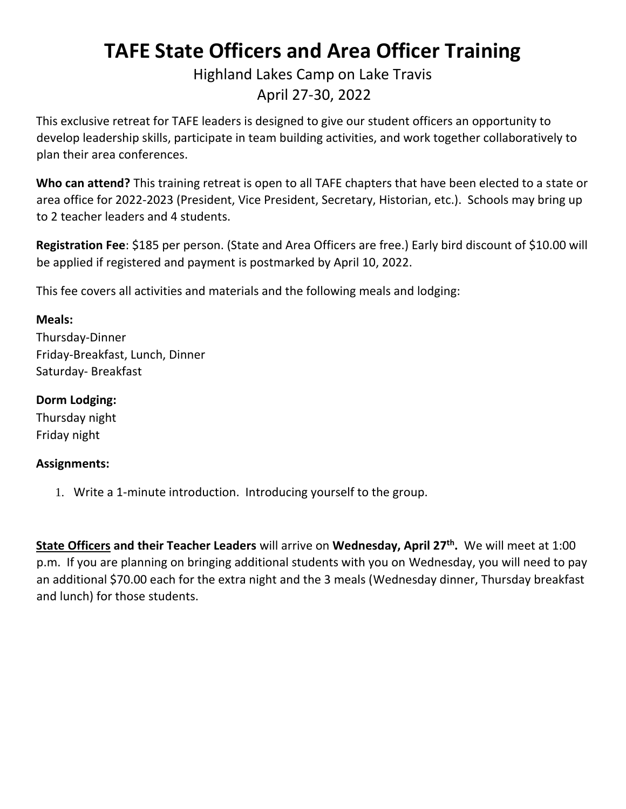## **TAFE State Officers and Area Officer Training**

### Highland Lakes Camp on Lake Travis April 27-30, 2022

This exclusive retreat for TAFE leaders is designed to give our student officers an opportunity to develop leadership skills, participate in team building activities, and work together collaboratively to plan their area conferences.

**Who can attend?** This training retreat is open to all TAFE chapters that have been elected to a state or area office for 2022-2023 (President, Vice President, Secretary, Historian, etc.). Schools may bring up to 2 teacher leaders and 4 students.

**Registration Fee**: \$185 per person. (State and Area Officers are free.) Early bird discount of \$10.00 will be applied if registered and payment is postmarked by April 10, 2022.

This fee covers all activities and materials and the following meals and lodging:

#### **Meals:**

Thursday-Dinner Friday-Breakfast, Lunch, Dinner Saturday- Breakfast

#### **Dorm Lodging:**

Thursday night Friday night

#### **Assignments:**

1. Write a 1-minute introduction. Introducing yourself to the group.

**State Officers and their Teacher Leaders** will arrive on **Wednesday, April 27 th .** We will meet at 1:00 p.m. If you are planning on bringing additional students with you on Wednesday, you will need to pay an additional \$70.00 each for the extra night and the 3 meals (Wednesday dinner, Thursday breakfast and lunch) for those students.